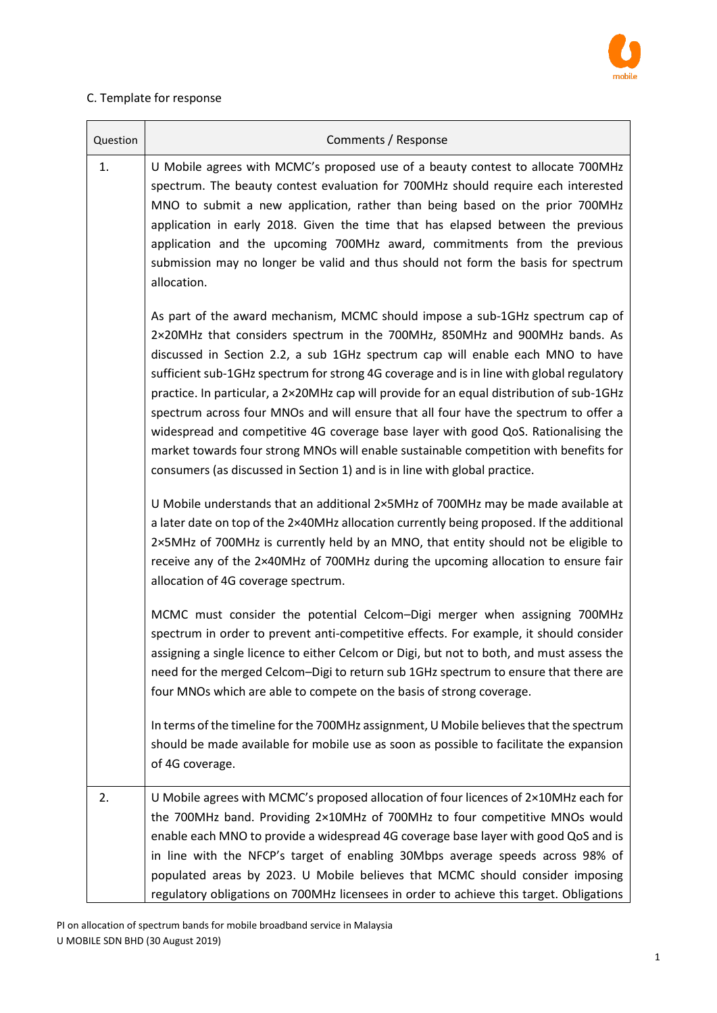

## C. Template for response

| Question | Comments / Response                                                                                                                                                                                                                                                                                                                                                                                                                                                                                                                                                                                                                                                                                                                                                                          |  |  |  |  |
|----------|----------------------------------------------------------------------------------------------------------------------------------------------------------------------------------------------------------------------------------------------------------------------------------------------------------------------------------------------------------------------------------------------------------------------------------------------------------------------------------------------------------------------------------------------------------------------------------------------------------------------------------------------------------------------------------------------------------------------------------------------------------------------------------------------|--|--|--|--|
| 1.       | U Mobile agrees with MCMC's proposed use of a beauty contest to allocate 700MHz<br>spectrum. The beauty contest evaluation for 700MHz should require each interested<br>MNO to submit a new application, rather than being based on the prior 700MHz<br>application in early 2018. Given the time that has elapsed between the previous<br>application and the upcoming 700MHz award, commitments from the previous<br>submission may no longer be valid and thus should not form the basis for spectrum<br>allocation.                                                                                                                                                                                                                                                                      |  |  |  |  |
|          | As part of the award mechanism, MCMC should impose a sub-1GHz spectrum cap of<br>2×20MHz that considers spectrum in the 700MHz, 850MHz and 900MHz bands. As<br>discussed in Section 2.2, a sub 1GHz spectrum cap will enable each MNO to have<br>sufficient sub-1GHz spectrum for strong 4G coverage and is in line with global regulatory<br>practice. In particular, a 2×20MHz cap will provide for an equal distribution of sub-1GHz<br>spectrum across four MNOs and will ensure that all four have the spectrum to offer a<br>widespread and competitive 4G coverage base layer with good QoS. Rationalising the<br>market towards four strong MNOs will enable sustainable competition with benefits for<br>consumers (as discussed in Section 1) and is in line with global practice. |  |  |  |  |
|          | U Mobile understands that an additional 2×5MHz of 700MHz may be made available at<br>a later date on top of the 2×40MHz allocation currently being proposed. If the additional<br>2×5MHz of 700MHz is currently held by an MNO, that entity should not be eligible to<br>receive any of the 2×40MHz of 700MHz during the upcoming allocation to ensure fair<br>allocation of 4G coverage spectrum.                                                                                                                                                                                                                                                                                                                                                                                           |  |  |  |  |
|          | MCMC must consider the potential Celcom-Digi merger when assigning 700MHz<br>spectrum in order to prevent anti-competitive effects. For example, it should consider<br>assigning a single licence to either Celcom or Digi, but not to both, and must assess the<br>need for the merged Celcom-Digi to return sub 1GHz spectrum to ensure that there are<br>four MNOs which are able to compete on the basis of strong coverage.                                                                                                                                                                                                                                                                                                                                                             |  |  |  |  |
|          | In terms of the timeline for the 700MHz assignment, U Mobile believes that the spectrum<br>should be made available for mobile use as soon as possible to facilitate the expansion<br>of 4G coverage.                                                                                                                                                                                                                                                                                                                                                                                                                                                                                                                                                                                        |  |  |  |  |
| 2.       | U Mobile agrees with MCMC's proposed allocation of four licences of $2\times10$ MHz each for<br>the 700MHz band. Providing 2×10MHz of 700MHz to four competitive MNOs would<br>enable each MNO to provide a widespread 4G coverage base layer with good QoS and is<br>in line with the NFCP's target of enabling 30Mbps average speeds across 98% of<br>populated areas by 2023. U Mobile believes that MCMC should consider imposing<br>regulatory obligations on 700MHz licensees in order to achieve this target. Obligations                                                                                                                                                                                                                                                             |  |  |  |  |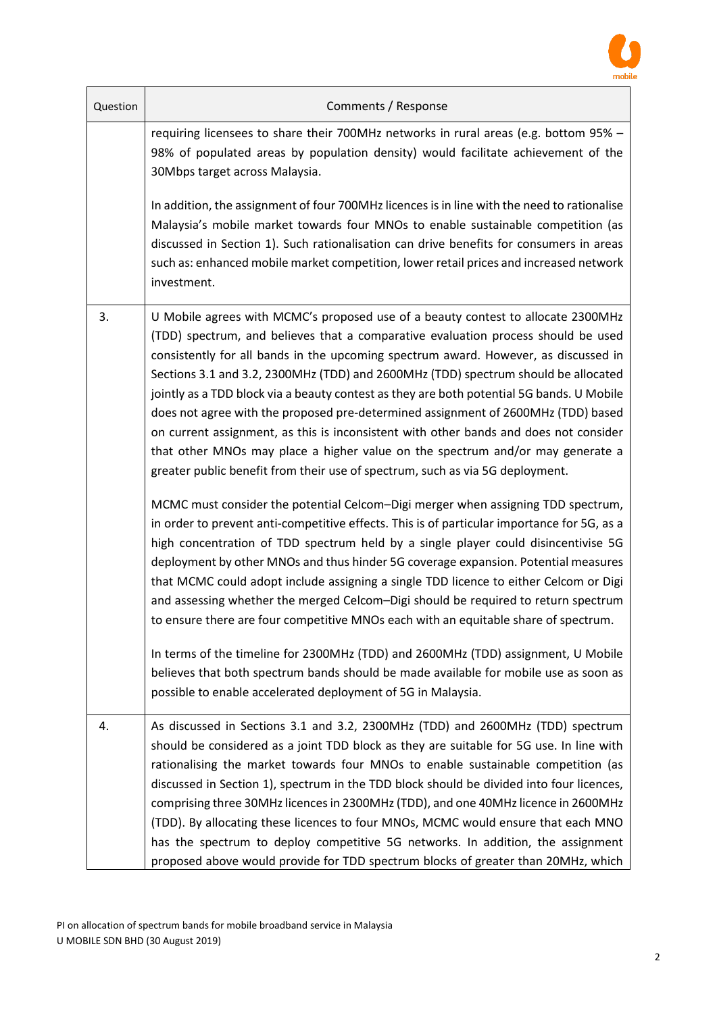

| Question | Comments / Response                                                                                                                                                                                                                                                                                                                                                                                                                                                                                                                                                                                                                                                                                                                                                                                                                                                            |  |  |  |  |
|----------|--------------------------------------------------------------------------------------------------------------------------------------------------------------------------------------------------------------------------------------------------------------------------------------------------------------------------------------------------------------------------------------------------------------------------------------------------------------------------------------------------------------------------------------------------------------------------------------------------------------------------------------------------------------------------------------------------------------------------------------------------------------------------------------------------------------------------------------------------------------------------------|--|--|--|--|
|          | requiring licensees to share their 700MHz networks in rural areas (e.g. bottom 95% -<br>98% of populated areas by population density) would facilitate achievement of the<br>30Mbps target across Malaysia.                                                                                                                                                                                                                                                                                                                                                                                                                                                                                                                                                                                                                                                                    |  |  |  |  |
|          | In addition, the assignment of four 700MHz licences is in line with the need to rationalise<br>Malaysia's mobile market towards four MNOs to enable sustainable competition (as<br>discussed in Section 1). Such rationalisation can drive benefits for consumers in areas<br>such as: enhanced mobile market competition, lower retail prices and increased network<br>investment.                                                                                                                                                                                                                                                                                                                                                                                                                                                                                            |  |  |  |  |
| 3.       | U Mobile agrees with MCMC's proposed use of a beauty contest to allocate 2300MHz<br>(TDD) spectrum, and believes that a comparative evaluation process should be used<br>consistently for all bands in the upcoming spectrum award. However, as discussed in<br>Sections 3.1 and 3.2, 2300MHz (TDD) and 2600MHz (TDD) spectrum should be allocated<br>jointly as a TDD block via a beauty contest as they are both potential 5G bands. U Mobile<br>does not agree with the proposed pre-determined assignment of 2600MHz (TDD) based<br>on current assignment, as this is inconsistent with other bands and does not consider<br>that other MNOs may place a higher value on the spectrum and/or may generate a<br>greater public benefit from their use of spectrum, such as via 5G deployment.                                                                               |  |  |  |  |
|          | MCMC must consider the potential Celcom-Digi merger when assigning TDD spectrum,<br>in order to prevent anti-competitive effects. This is of particular importance for 5G, as a<br>high concentration of TDD spectrum held by a single player could disincentivise 5G<br>deployment by other MNOs and thus hinder 5G coverage expansion. Potential measures<br>that MCMC could adopt include assigning a single TDD licence to either Celcom or Digi<br>and assessing whether the merged Celcom-Digi should be required to return spectrum<br>to ensure there are four competitive MNOs each with an equitable share of spectrum.<br>In terms of the timeline for 2300MHz (TDD) and 2600MHz (TDD) assignment, U Mobile<br>believes that both spectrum bands should be made available for mobile use as soon as<br>possible to enable accelerated deployment of 5G in Malaysia. |  |  |  |  |
| 4.       | As discussed in Sections 3.1 and 3.2, 2300MHz (TDD) and 2600MHz (TDD) spectrum<br>should be considered as a joint TDD block as they are suitable for 5G use. In line with<br>rationalising the market towards four MNOs to enable sustainable competition (as<br>discussed in Section 1), spectrum in the TDD block should be divided into four licences,<br>comprising three 30MHz licences in 2300MHz (TDD), and one 40MHz licence in 2600MHz<br>(TDD). By allocating these licences to four MNOs, MCMC would ensure that each MNO<br>has the spectrum to deploy competitive 5G networks. In addition, the assignment<br>proposed above would provide for TDD spectrum blocks of greater than 20MHz, which                                                                                                                                                                   |  |  |  |  |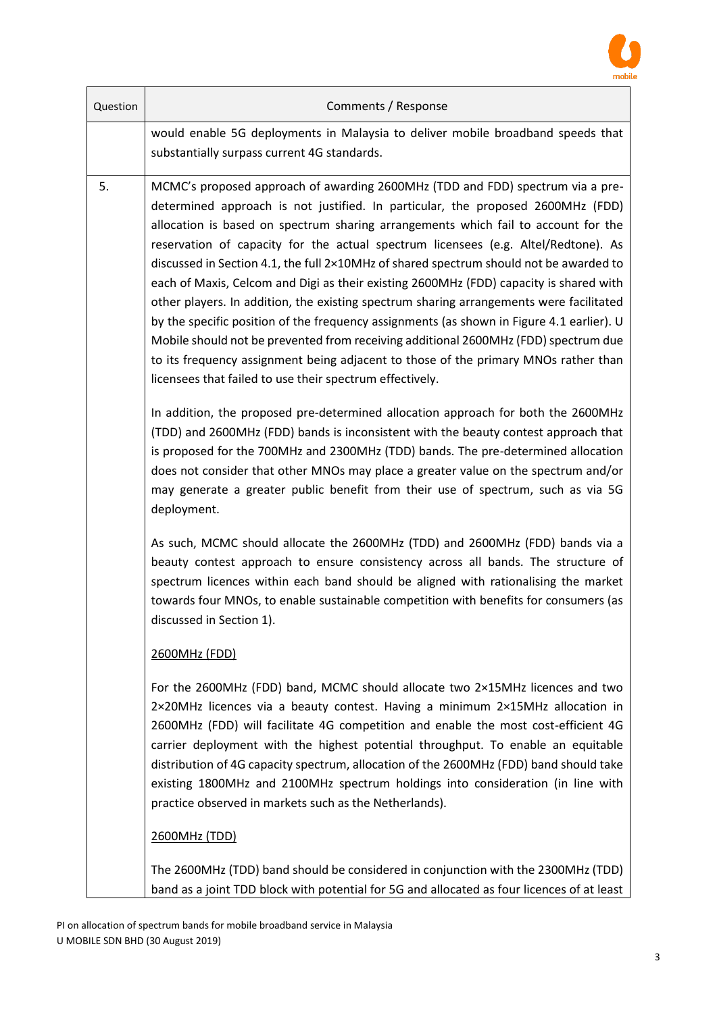

| Question | Comments / Response                                                                                                                                                                                                                                                                                                                                                                                                                                                                                                                                                                                                                                                                                                                                                                                                                                                                                                                                                 |  |  |  |  |
|----------|---------------------------------------------------------------------------------------------------------------------------------------------------------------------------------------------------------------------------------------------------------------------------------------------------------------------------------------------------------------------------------------------------------------------------------------------------------------------------------------------------------------------------------------------------------------------------------------------------------------------------------------------------------------------------------------------------------------------------------------------------------------------------------------------------------------------------------------------------------------------------------------------------------------------------------------------------------------------|--|--|--|--|
|          | would enable 5G deployments in Malaysia to deliver mobile broadband speeds that<br>substantially surpass current 4G standards.                                                                                                                                                                                                                                                                                                                                                                                                                                                                                                                                                                                                                                                                                                                                                                                                                                      |  |  |  |  |
| 5.       | MCMC's proposed approach of awarding 2600MHz (TDD and FDD) spectrum via a pre-<br>determined approach is not justified. In particular, the proposed 2600MHz (FDD)<br>allocation is based on spectrum sharing arrangements which fail to account for the<br>reservation of capacity for the actual spectrum licensees (e.g. Altel/Redtone). As<br>discussed in Section 4.1, the full 2×10MHz of shared spectrum should not be awarded to<br>each of Maxis, Celcom and Digi as their existing 2600MHz (FDD) capacity is shared with<br>other players. In addition, the existing spectrum sharing arrangements were facilitated<br>by the specific position of the frequency assignments (as shown in Figure 4.1 earlier). U<br>Mobile should not be prevented from receiving additional 2600MHz (FDD) spectrum due<br>to its frequency assignment being adjacent to those of the primary MNOs rather than<br>licensees that failed to use their spectrum effectively. |  |  |  |  |
|          | In addition, the proposed pre-determined allocation approach for both the 2600MHz<br>(TDD) and 2600MHz (FDD) bands is inconsistent with the beauty contest approach that<br>is proposed for the 700MHz and 2300MHz (TDD) bands. The pre-determined allocation<br>does not consider that other MNOs may place a greater value on the spectrum and/or<br>may generate a greater public benefit from their use of spectrum, such as via 5G<br>deployment.                                                                                                                                                                                                                                                                                                                                                                                                                                                                                                              |  |  |  |  |
|          | As such, MCMC should allocate the 2600MHz (TDD) and 2600MHz (FDD) bands via a<br>beauty contest approach to ensure consistency across all bands. The structure of<br>spectrum licences within each band should be aligned with rationalising the market<br>towards four MNOs, to enable sustainable competition with benefits for consumers (as<br>discussed in Section 1).                                                                                                                                                                                                                                                                                                                                                                                                                                                                                                                                                                                         |  |  |  |  |
|          | 2600MHz (FDD)                                                                                                                                                                                                                                                                                                                                                                                                                                                                                                                                                                                                                                                                                                                                                                                                                                                                                                                                                       |  |  |  |  |
|          | For the 2600MHz (FDD) band, MCMC should allocate two 2×15MHz licences and two<br>2×20MHz licences via a beauty contest. Having a minimum 2×15MHz allocation in<br>2600MHz (FDD) will facilitate 4G competition and enable the most cost-efficient 4G<br>carrier deployment with the highest potential throughput. To enable an equitable<br>distribution of 4G capacity spectrum, allocation of the 2600MHz (FDD) band should take<br>existing 1800MHz and 2100MHz spectrum holdings into consideration (in line with<br>practice observed in markets such as the Netherlands).                                                                                                                                                                                                                                                                                                                                                                                     |  |  |  |  |
|          | <b>2600MHz (TDD)</b>                                                                                                                                                                                                                                                                                                                                                                                                                                                                                                                                                                                                                                                                                                                                                                                                                                                                                                                                                |  |  |  |  |
|          | The 2600MHz (TDD) band should be considered in conjunction with the 2300MHz (TDD)                                                                                                                                                                                                                                                                                                                                                                                                                                                                                                                                                                                                                                                                                                                                                                                                                                                                                   |  |  |  |  |

band as a joint TDD block with potential for 5G and allocated as four licences of at least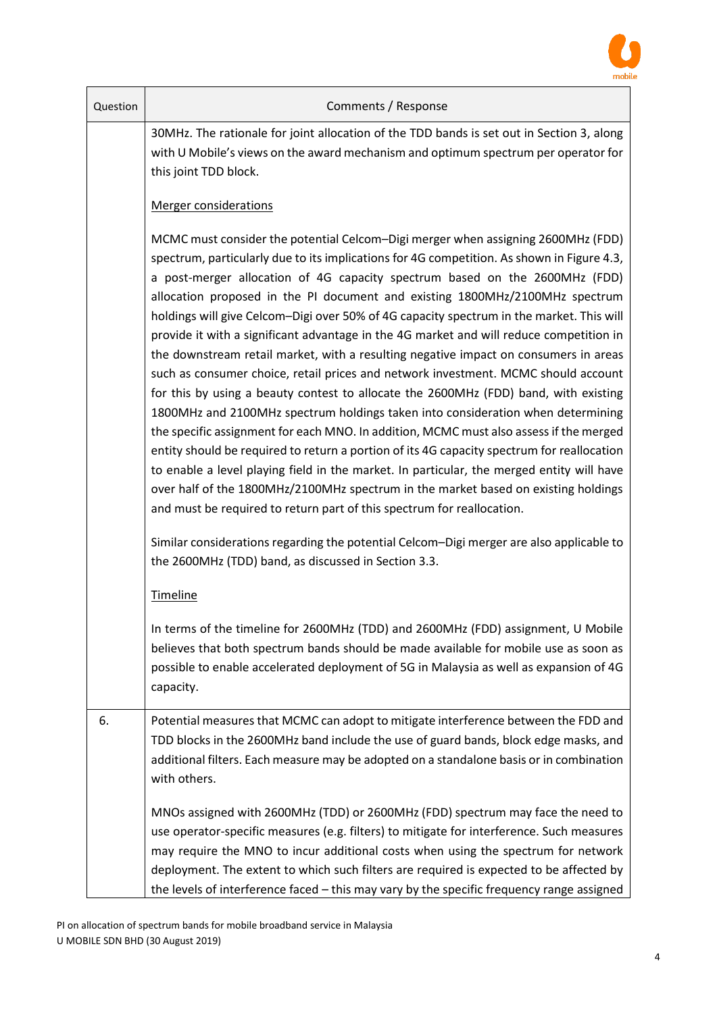

| Question | Comments / Response                                                                                                                                                                                                                                                                                                                                                                                                                                                                                                                                                                                                                                                                                                                                                                                                                                                                                                                                                                                                                                                                                                                                                                                                                                                                                                                                |  |  |  |  |
|----------|----------------------------------------------------------------------------------------------------------------------------------------------------------------------------------------------------------------------------------------------------------------------------------------------------------------------------------------------------------------------------------------------------------------------------------------------------------------------------------------------------------------------------------------------------------------------------------------------------------------------------------------------------------------------------------------------------------------------------------------------------------------------------------------------------------------------------------------------------------------------------------------------------------------------------------------------------------------------------------------------------------------------------------------------------------------------------------------------------------------------------------------------------------------------------------------------------------------------------------------------------------------------------------------------------------------------------------------------------|--|--|--|--|
|          | 30MHz. The rationale for joint allocation of the TDD bands is set out in Section 3, along<br>with U Mobile's views on the award mechanism and optimum spectrum per operator for<br>this joint TDD block.                                                                                                                                                                                                                                                                                                                                                                                                                                                                                                                                                                                                                                                                                                                                                                                                                                                                                                                                                                                                                                                                                                                                           |  |  |  |  |
|          | <b>Merger considerations</b>                                                                                                                                                                                                                                                                                                                                                                                                                                                                                                                                                                                                                                                                                                                                                                                                                                                                                                                                                                                                                                                                                                                                                                                                                                                                                                                       |  |  |  |  |
|          | MCMC must consider the potential Celcom-Digi merger when assigning 2600MHz (FDD)<br>spectrum, particularly due to its implications for 4G competition. As shown in Figure 4.3,<br>a post-merger allocation of 4G capacity spectrum based on the 2600MHz (FDD)<br>allocation proposed in the PI document and existing 1800MHz/2100MHz spectrum<br>holdings will give Celcom-Digi over 50% of 4G capacity spectrum in the market. This will<br>provide it with a significant advantage in the 4G market and will reduce competition in<br>the downstream retail market, with a resulting negative impact on consumers in areas<br>such as consumer choice, retail prices and network investment. MCMC should account<br>for this by using a beauty contest to allocate the 2600MHz (FDD) band, with existing<br>1800MHz and 2100MHz spectrum holdings taken into consideration when determining<br>the specific assignment for each MNO. In addition, MCMC must also assess if the merged<br>entity should be required to return a portion of its 4G capacity spectrum for reallocation<br>to enable a level playing field in the market. In particular, the merged entity will have<br>over half of the 1800MHz/2100MHz spectrum in the market based on existing holdings<br>and must be required to return part of this spectrum for reallocation. |  |  |  |  |
|          | Similar considerations regarding the potential Celcom-Digi merger are also applicable to<br>the 2600MHz (TDD) band, as discussed in Section 3.3.                                                                                                                                                                                                                                                                                                                                                                                                                                                                                                                                                                                                                                                                                                                                                                                                                                                                                                                                                                                                                                                                                                                                                                                                   |  |  |  |  |
|          | Timeline                                                                                                                                                                                                                                                                                                                                                                                                                                                                                                                                                                                                                                                                                                                                                                                                                                                                                                                                                                                                                                                                                                                                                                                                                                                                                                                                           |  |  |  |  |
|          | In terms of the timeline for 2600MHz (TDD) and 2600MHz (FDD) assignment, U Mobile<br>believes that both spectrum bands should be made available for mobile use as soon as<br>possible to enable accelerated deployment of 5G in Malaysia as well as expansion of 4G<br>capacity.                                                                                                                                                                                                                                                                                                                                                                                                                                                                                                                                                                                                                                                                                                                                                                                                                                                                                                                                                                                                                                                                   |  |  |  |  |
| 6.       | Potential measures that MCMC can adopt to mitigate interference between the FDD and<br>TDD blocks in the 2600MHz band include the use of guard bands, block edge masks, and<br>additional filters. Each measure may be adopted on a standalone basis or in combination<br>with others.                                                                                                                                                                                                                                                                                                                                                                                                                                                                                                                                                                                                                                                                                                                                                                                                                                                                                                                                                                                                                                                             |  |  |  |  |
|          | MNOs assigned with 2600MHz (TDD) or 2600MHz (FDD) spectrum may face the need to<br>use operator-specific measures (e.g. filters) to mitigate for interference. Such measures<br>may require the MNO to incur additional costs when using the spectrum for network<br>deployment. The extent to which such filters are required is expected to be affected by<br>the levels of interference faced - this may vary by the specific frequency range assigned                                                                                                                                                                                                                                                                                                                                                                                                                                                                                                                                                                                                                                                                                                                                                                                                                                                                                          |  |  |  |  |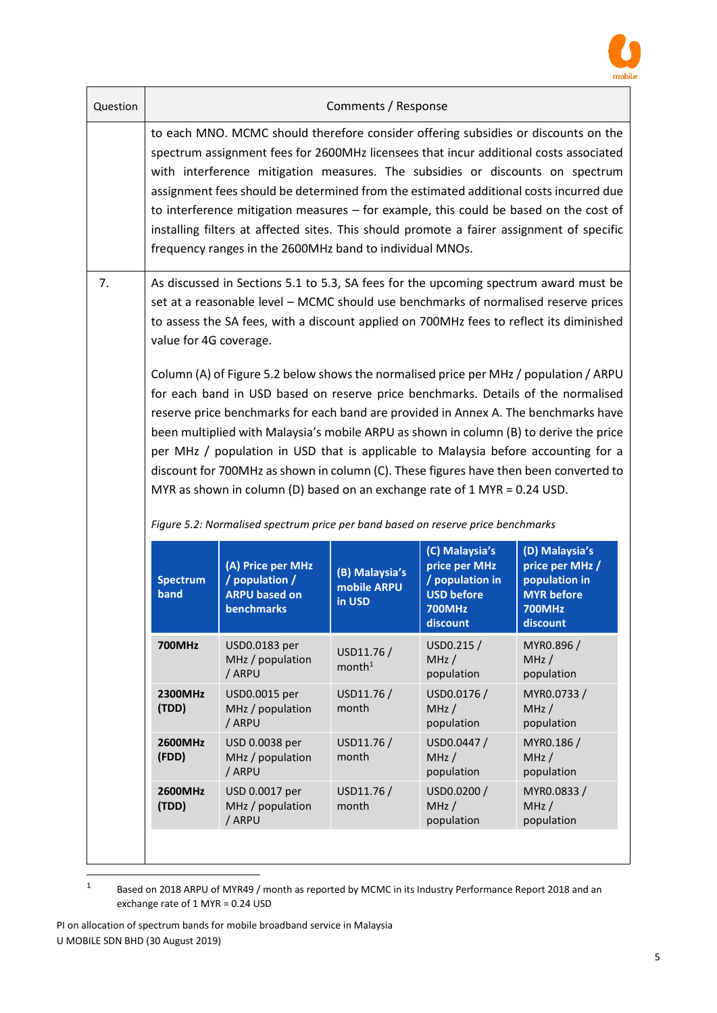

| Question | Comments / Response                                                                                                                                                                                                                                                                                                                                                                                                                                                                                                                                                                                                                                                                                         |                                                                                  |                                         |                                                                                                      |                                                                                                      |
|----------|-------------------------------------------------------------------------------------------------------------------------------------------------------------------------------------------------------------------------------------------------------------------------------------------------------------------------------------------------------------------------------------------------------------------------------------------------------------------------------------------------------------------------------------------------------------------------------------------------------------------------------------------------------------------------------------------------------------|----------------------------------------------------------------------------------|-----------------------------------------|------------------------------------------------------------------------------------------------------|------------------------------------------------------------------------------------------------------|
|          | to each MNO. MCMC should therefore consider offering subsidies or discounts on the<br>spectrum assignment fees for 2600MHz licensees that incur additional costs associated<br>with interference mitigation measures. The subsidies or discounts on spectrum<br>assignment fees should be determined from the estimated additional costs incurred due<br>to interference mitigation measures - for example, this could be based on the cost of<br>installing filters at affected sites. This should promote a fairer assignment of specific<br>frequency ranges in the 2600MHz band to individual MNOs.                                                                                                     |                                                                                  |                                         |                                                                                                      |                                                                                                      |
| 7.       | As discussed in Sections 5.1 to 5.3, SA fees for the upcoming spectrum award must be<br>set at a reasonable level - MCMC should use benchmarks of normalised reserve prices<br>to assess the SA fees, with a discount applied on 700MHz fees to reflect its diminished<br>value for 4G coverage.                                                                                                                                                                                                                                                                                                                                                                                                            |                                                                                  |                                         |                                                                                                      |                                                                                                      |
|          | Column (A) of Figure 5.2 below shows the normalised price per MHz / population / ARPU<br>for each band in USD based on reserve price benchmarks. Details of the normalised<br>reserve price benchmarks for each band are provided in Annex A. The benchmarks have<br>been multiplied with Malaysia's mobile ARPU as shown in column (B) to derive the price<br>per MHz / population in USD that is applicable to Malaysia before accounting for a<br>discount for 700MHz as shown in column (C). These figures have then been converted to<br>MYR as shown in column (D) based on an exchange rate of 1 MYR = 0.24 USD.<br>Figure 5.2: Normalised spectrum price per band based on reserve price benchmarks |                                                                                  |                                         |                                                                                                      |                                                                                                      |
|          | <b>Spectrum</b><br>band                                                                                                                                                                                                                                                                                                                                                                                                                                                                                                                                                                                                                                                                                     | (A) Price per MHz<br>/ population /<br><b>ARPU based on</b><br><b>benchmarks</b> | (B) Malaysia's<br>mobile ARPU<br>in USD | (C) Malaysia's<br>price per MHz<br>/ population in<br><b>USD before</b><br><b>700MHz</b><br>discount | (D) Malaysia's<br>price per MHz /<br>population in<br><b>MYR</b> before<br><b>700MHz</b><br>discount |
|          | <b>700MHz</b>                                                                                                                                                                                                                                                                                                                                                                                                                                                                                                                                                                                                                                                                                               | USD0.0183 per<br>MHz / population<br>/ ARPU                                      | USD11.76 /<br>month <sup>1</sup>        | USD0.215 /<br>MHz/<br>population                                                                     | MYR0.896 /<br>MHz/<br>population                                                                     |
|          | 2300MHz<br>(TDD)                                                                                                                                                                                                                                                                                                                                                                                                                                                                                                                                                                                                                                                                                            | USD0.0015 per<br>MHz / population<br>/ ARPU                                      | USD11.76 /<br>month                     | USD0.0176 /<br>MHz/<br>population                                                                    | MYR0.0733/<br>MHz/<br>population                                                                     |
|          | 2600MHz<br>(FDD)                                                                                                                                                                                                                                                                                                                                                                                                                                                                                                                                                                                                                                                                                            | USD 0.0038 per<br>MHz / population<br>/ ARPU                                     | USD11.76 /<br>month                     | USD0.0447 /<br>MHz/<br>population                                                                    | MYR0.186 /<br>MHz/<br>population                                                                     |
|          | 2600MHz<br>(TDD)                                                                                                                                                                                                                                                                                                                                                                                                                                                                                                                                                                                                                                                                                            | USD 0.0017 per<br>MHz / population<br>/ ARPU                                     | USD11.76 /<br>month                     | USD0.0200 /<br>MHz/<br>population                                                                    | MYR0.0833/<br>MHz/<br>population                                                                     |
|          |                                                                                                                                                                                                                                                                                                                                                                                                                                                                                                                                                                                                                                                                                                             |                                                                                  |                                         |                                                                                                      |                                                                                                      |

<sup>1</sup> Based on 2018 ARPU of MYR49 / month as reported by MCMC in its Industry Performance Report 2018 and an exchange rate of 1 MYR = 0.24 USD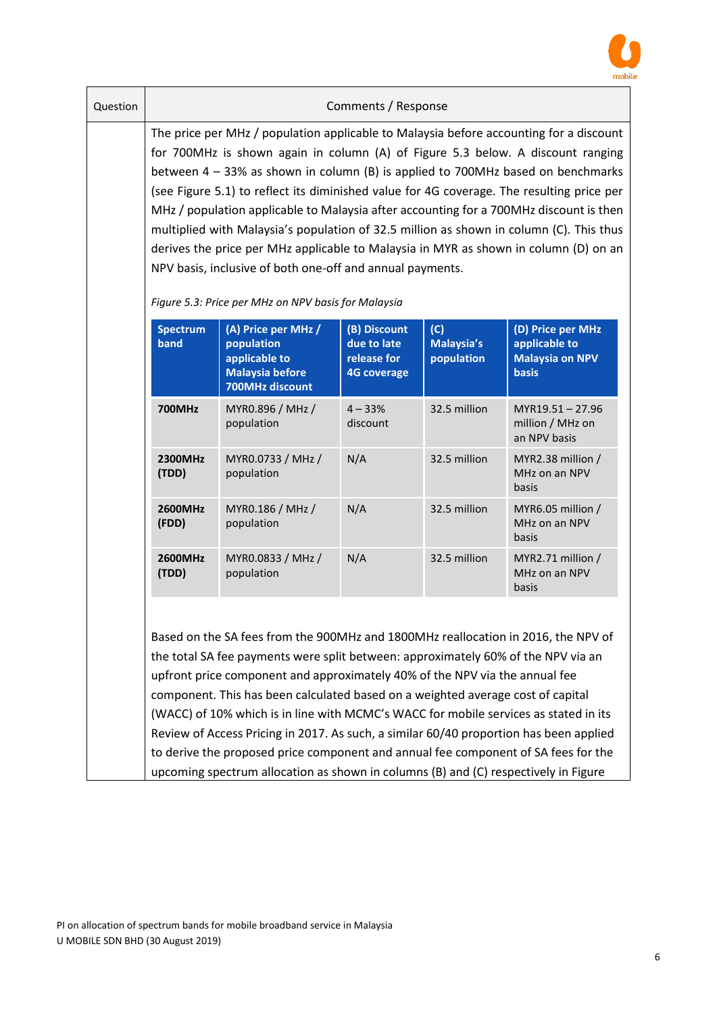

| Question | Comments / Response<br>The price per MHz / population applicable to Malaysia before accounting for a discount<br>for 700MHz is shown again in column (A) of Figure 5.3 below. A discount ranging<br>between $4 - 33\%$ as shown in column (B) is applied to 700MHz based on benchmarks<br>(see Figure 5.1) to reflect its diminished value for 4G coverage. The resulting price per<br>MHz / population applicable to Malaysia after accounting for a 700MHz discount is then<br>multiplied with Malaysia's population of 32.5 million as shown in column (C). This thus<br>derives the price per MHz applicable to Malaysia in MYR as shown in column (D) on an<br>NPV basis, inclusive of both one-off and annual payments. |                                                                                                                                                        |                                                                  |                                 |                                                                              |
|----------|-------------------------------------------------------------------------------------------------------------------------------------------------------------------------------------------------------------------------------------------------------------------------------------------------------------------------------------------------------------------------------------------------------------------------------------------------------------------------------------------------------------------------------------------------------------------------------------------------------------------------------------------------------------------------------------------------------------------------------|--------------------------------------------------------------------------------------------------------------------------------------------------------|------------------------------------------------------------------|---------------------------------|------------------------------------------------------------------------------|
|          | <b>Spectrum</b><br>band                                                                                                                                                                                                                                                                                                                                                                                                                                                                                                                                                                                                                                                                                                       | Figure 5.3: Price per MHz on NPV basis for Malaysia<br>(A) Price per MHz /<br>population<br>applicable to<br><b>Malaysia before</b><br>700MHz discount | (B) Discount<br>due to late<br>release for<br><b>4G coverage</b> | (C)<br>Malaysia's<br>population | (D) Price per MHz<br>applicable to<br><b>Malaysia on NPV</b><br><b>basis</b> |
|          | <b>700MHz</b>                                                                                                                                                                                                                                                                                                                                                                                                                                                                                                                                                                                                                                                                                                                 | MYR0.896 / MHz /<br>population                                                                                                                         | $4 - 33%$<br>discount                                            | 32.5 million                    | MYR19.51-27.96<br>million / MHz on<br>an NPV basis                           |
|          | 2300MHz<br>(TDD)                                                                                                                                                                                                                                                                                                                                                                                                                                                                                                                                                                                                                                                                                                              | MYR0.0733 / MHz /<br>population                                                                                                                        | N/A                                                              | 32.5 million                    | MYR2.38 million /<br>MHz on an NPV<br>basis                                  |
|          | 2600MHz<br>(FDD)                                                                                                                                                                                                                                                                                                                                                                                                                                                                                                                                                                                                                                                                                                              | MYR0.186 / MHz /<br>population                                                                                                                         | N/A                                                              | 32.5 million                    | MYR6.05 million /<br>MHz on an NPV<br>basis                                  |
|          | 2600MHz<br>(TDD)                                                                                                                                                                                                                                                                                                                                                                                                                                                                                                                                                                                                                                                                                                              | MYR0.0833 / MHz /<br>population                                                                                                                        | N/A                                                              | 32.5 million                    | MYR2.71 million /<br>MHz on an NPV<br>basis                                  |
|          | Based on the SA fees from the 900MHz and 1800MHz reallocation in 2016, the NPV of<br>the total SA fee payments were split between: approximately 60% of the NPV via an<br>upfront price component and approximately 40% of the NPV via the annual fee<br>component. This has been calculated based on a weighted average cost of capital<br>(WACC) of 10% which is in line with MCMC's WACC for mobile services as stated in its<br>Review of Access Pricing in 2017. As such, a similar 60/40 proportion has been applied<br>to derive the proposed price component and annual fee component of SA fees for the                                                                                                              |                                                                                                                                                        |                                                                  |                                 |                                                                              |

upcoming spectrum allocation as shown in columns (B) and (C) respectively in Figure